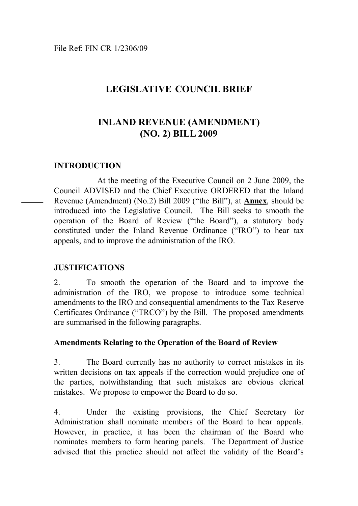# **LEGISLATIVE COUNCIL BRIEF**

# **INLAND REVENUE (AMENDMENT) (NO. 2) BILL 2009**

## **INTRODUCTION**

 $\overline{a}$ 

At the meeting of the Executive Council on 2 June 2009, the Council ADVISED and the Chief Executive ORDERED that the Inland Revenue (Amendment) (No.2) Bill 2009 ("the Bill"), at **Annex**, should be introduced into the Legislative Council. The Bill seeks to smooth the operation of the Board of Review ("the Board"), a statutory body constituted under the Inland Revenue Ordinance ("IRO") to hear tax appeals, and to improve the administration of the IRO.

## **JUSTIFICATIONS**

2. To smooth the operation of the Board and to improve the administration of the IRO, we propose to introduce some technical amendments to the IRO and consequential amendments to the Tax Reserve Certificates Ordinance ("TRCO") by the Bill. The proposed amendments are summarised in the following paragraphs.

### **Amendments Relating to the Operation of the Board of Review**

3. The Board currently has no authority to correct mistakes in its written decisions on tax appeals if the correction would prejudice one of the parties, notwithstanding that such mistakes are obvious clerical mistakes. We propose to empower the Board to do so.

4. Under the existing provisions, the Chief Secretary for Administration shall nominate members of the Board to hear appeals. However, in practice, it has been the chairman of the Board who nominates members to form hearing panels. The Department of Justice advised that this practice should not affect the validity of the Board's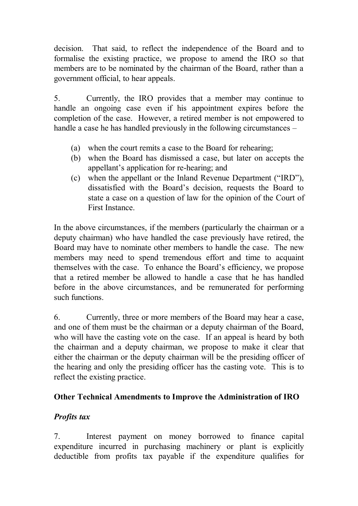decision. That said, to reflect the independence of the Board and to formalise the existing practice, we propose to amend the IRO so that members are to be nominated by the chairman of the Board, rather than a government official, to hear appeals.

5. Currently, the IRO provides that a member may continue to handle an ongoing case even if his appointment expires before the completion of the case. However, a retired member is not empowered to handle a case he has handled previously in the following circumstances –

- (a) when the court remits a case to the Board for rehearing;
- (b) when the Board has dismissed a case, but later on accepts the appellant's application for re-hearing; and
- (c) when the appellant or the Inland Revenue Department ("IRD"), dissatisfied with the Board's decision, requests the Board to state a case on a question of law for the opinion of the Court of First Instance.

In the above circumstances, if the members (particularly the chairman or a deputy chairman) who have handled the case previously have retired, the Board may have to nominate other members to handle the case. The new members may need to spend tremendous effort and time to acquaint themselves with the case. To enhance the Board's efficiency, we propose that a retired member be allowed to handle a case that he has handled before in the above circumstances, and be remunerated for performing such functions.

6. Currently, three or more members of the Board may hear a case, and one of them must be the chairman or a deputy chairman of the Board, who will have the casting vote on the case. If an appeal is heard by both the chairman and a deputy chairman, we propose to make it clear that either the chairman or the deputy chairman will be the presiding officer of the hearing and only the presiding officer has the casting vote. This is to reflect the existing practice.

# **Other Technical Amendments to Improve the Administration of IRO**

# *Profits tax*

7. Interest payment on money borrowed to finance capital expenditure incurred in purchasing machinery or plant is explicitly deductible from profits tax payable if the expenditure qualifies for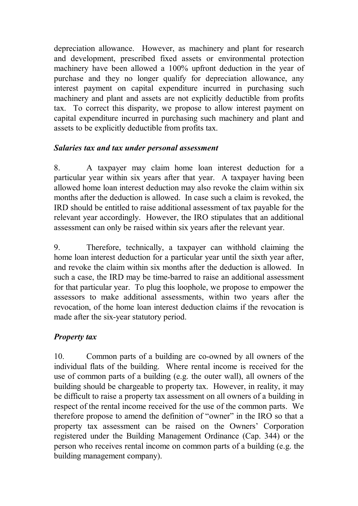depreciation allowance. However, as machinery and plant for research and development, prescribed fixed assets or environmental protection machinery have been allowed a 100% upfront deduction in the year of purchase and they no longer qualify for depreciation allowance, any interest payment on capital expenditure incurred in purchasing such machinery and plant and assets are not explicitly deductible from profits tax. To correct this disparity, we propose to allow interest payment on capital expenditure incurred in purchasing such machinery and plant and assets to be explicitly deductible from profits tax.

# *Salaries tax and tax under personal assessment*

8. A taxpayer may claim home loan interest deduction for a particular year within six years after that year. A taxpayer having been allowed home loan interest deduction may also revoke the claim within six months after the deduction is allowed. In case such a claim is revoked, the IRD should be entitled to raise additional assessment of tax payable for the relevant year accordingly. However, the IRO stipulates that an additional assessment can only be raised within six years after the relevant year.

9. Therefore, technically, a taxpayer can withhold claiming the home loan interest deduction for a particular year until the sixth year after, and revoke the claim within six months after the deduction is allowed. In such a case, the IRD may be time-barred to raise an additional assessment for that particular year. To plug this loophole, we propose to empower the assessors to make additional assessments, within two years after the revocation, of the home loan interest deduction claims if the revocation is made after the six-year statutory period.

# *Property tax*

10. Common parts of a building are co-owned by all owners of the individual flats of the building. Where rental income is received for the use of common parts of a building (e.g. the outer wall), all owners of the building should be chargeable to property tax. However, in reality, it may be difficult to raise a property tax assessment on all owners of a building in respect of the rental income received for the use of the common parts. We therefore propose to amend the definition of "owner" in the IRO so that a property tax assessment can be raised on the Owners' Corporation registered under the Building Management Ordinance (Cap. 344) or the person who receives rental income on common parts of a building (e.g. the building management company).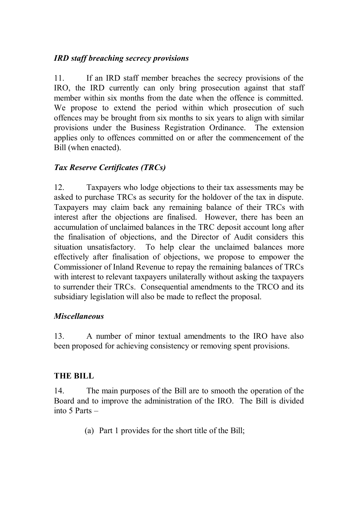# *IRD staff breaching secrecy provisions*

11. If an IRD staff member breaches the secrecy provisions of the IRO, the IRD currently can only bring prosecution against that staff member within six months from the date when the offence is committed. We propose to extend the period within which prosecution of such offences may be brought from six months to six years to align with similar provisions under the Business Registration Ordinance. The extension applies only to offences committed on or after the commencement of the Bill (when enacted).

# *Tax Reserve Certificates (TRCs)*

12. Taxpayers who lodge objections to their tax assessments may be asked to purchase TRCs as security for the holdover of the tax in dispute. Taxpayers may claim back any remaining balance of their TRCs with interest after the objections are finalised. However, there has been an accumulation of unclaimed balances in the TRC deposit account long after the finalisation of objections, and the Director of Audit considers this situation unsatisfactory. To help clear the unclaimed balances more effectively after finalisation of objections, we propose to empower the Commissioner of Inland Revenue to repay the remaining balances of TRCs with interest to relevant taxpayers unilaterally without asking the taxpayers to surrender their TRCs. Consequential amendments to the TRCO and its subsidiary legislation will also be made to reflect the proposal.

# *Miscellaneous*

13. A number of minor textual amendments to the IRO have also been proposed for achieving consistency or removing spent provisions.

# **THE BILL**

14. The main purposes of the Bill are to smooth the operation of the Board and to improve the administration of the IRO. The Bill is divided into 5 Parts –

(a) Part 1 provides for the short title of the Bill;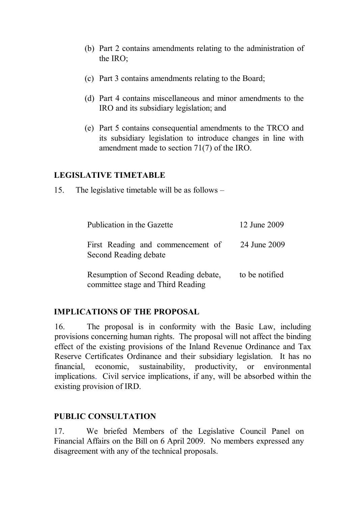- (b) Part 2 contains amendments relating to the administration of the IRO;
- (c) Part 3 contains amendments relating to the Board;
- (d) Part 4 contains miscellaneous and minor amendments to the IRO and its subsidiary legislation; and
- (e) Part 5 contains consequential amendments to the TRCO and its subsidiary legislation to introduce changes in line with amendment made to section 71(7) of the IRO.

## **LEGISLATIVE TIMETABLE**

15. The legislative timetable will be as follows –

| Publication in the Gazette                                                | 12 June 2009   |
|---------------------------------------------------------------------------|----------------|
| First Reading and commencement of<br>Second Reading debate                | 24 June 2009   |
| Resumption of Second Reading debate,<br>committee stage and Third Reading | to be notified |

## **IMPLICATIONS OF THE PROPOSAL**

16. The proposal is in conformity with the Basic Law, including provisions concerning human rights. The proposal will not affect the binding effect of the existing provisions of the Inland Revenue Ordinance and Tax Reserve Certificates Ordinance and their subsidiary legislation. It has no financial, economic, sustainability, productivity, or environmental implications. Civil service implications, if any, will be absorbed within the existing provision of IRD.

## **PUBLIC CONSULTATION**

17. We briefed Members of the Legislative Council Panel on Financial Affairs on the Bill on 6 April 2009. No members expressed any disagreement with any of the technical proposals.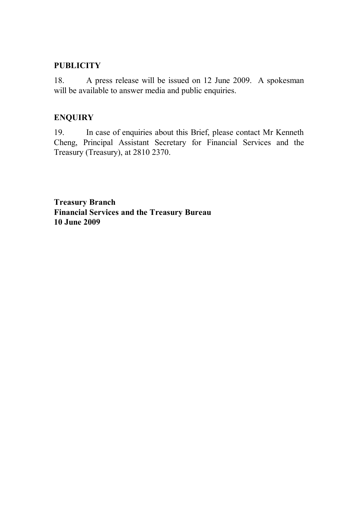## **PUBLICITY**

18. A press release will be issued on 12 June 2009. A spokesman will be available to answer media and public enquiries.

## **ENQUIRY**

19. In case of enquiries about this Brief, please contact Mr Kenneth Cheng, Principal Assistant Secretary for Financial Services and the Treasury (Treasury), at 2810 2370.

**Treasury Branch Financial Services and the Treasury Bureau 10 June 2009**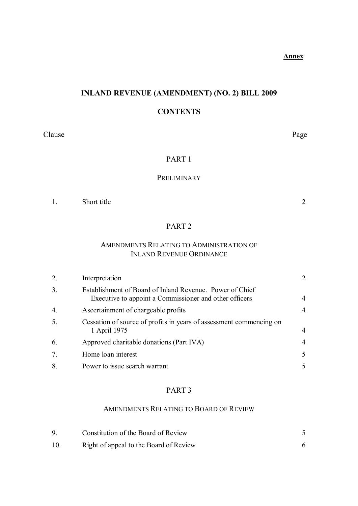# **INLAND REVENUE (AMENDMENT) (NO. 2) BILL 2009**

### **CONTENTS**

Clause Page

## PART 1

### PRELIMINARY

1. [Short title](#page-10-0) 2

### PART 2

### AMENDMENTS RELATING TO ADMINISTRATION OF INLAND REVENUE ORDINANCE

| 2.               | Interpretation                                                                                                     |                             |
|------------------|--------------------------------------------------------------------------------------------------------------------|-----------------------------|
| 3.               | Establishment of Board of Inland Revenue. Power of Chief<br>Executive to appoint a Commissioner and other officers | 4                           |
| $\overline{4}$ . | Ascertainment of chargeable profits                                                                                | 4                           |
| 5.               | Cessation of source of profits in years of assessment commencing on<br>1 April 1975                                | 4                           |
| 6.               | Approved charitable donations (Part IVA)                                                                           | $\overline{4}$              |
| 7.               | Home loan interest                                                                                                 | 5                           |
| 8.               | Power to issue search warrant                                                                                      | $\mathcal{F}_{\mathcal{F}}$ |

#### PART 3

#### AMENDMENTS RELATING TO BOARD OF REVIEW

|    | Constitution of the Board of Review    |  |
|----|----------------------------------------|--|
| 10 | Right of appeal to the Board of Review |  |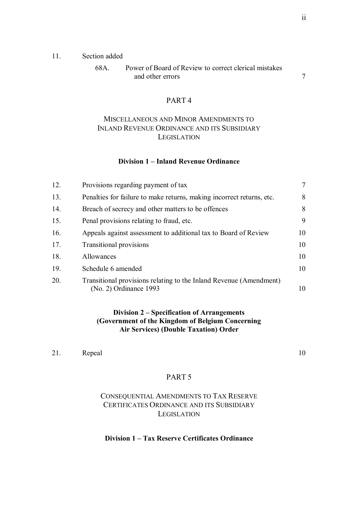#### 11. Section added

| 68A. | Power of Board of Review to correct clerical mistakes |  |
|------|-------------------------------------------------------|--|
|      | and other errors                                      |  |

#### PART 4

### MISCELLANEOUS AND MINOR AMENDMENTS TO INLAND REVENUE ORDINANCE AND ITS SUBSIDIARY **LEGISLATION**

#### **Division 1 – Inland Revenue Ordinance**

| 12. | Provisions regarding payment of tax                                                            | $\tau$ |
|-----|------------------------------------------------------------------------------------------------|--------|
| 13. | Penalties for failure to make returns, making incorrect returns, etc.                          | 8      |
| 14. | Breach of secrecy and other matters to be offences                                             | 8      |
| 15. | Penal provisions relating to fraud, etc.                                                       | 9      |
| 16. | Appeals against assessment to additional tax to Board of Review                                | 10     |
| 17. | <b>Transitional provisions</b>                                                                 | 10     |
| 18. | Allowances                                                                                     | 10     |
| 19. | Schedule 6 amended                                                                             | 10     |
| 20. | Transitional provisions relating to the Inland Revenue (Amendment)<br>$(No. 2)$ Ordinance 1993 | 10     |

#### **Division 2 – Specification of Arrangements (Government of the Kingdom of Belgium Concerning Air Services) (Double Taxation) Order**

21. [Repeal](#page-18-0) 10

#### PART 5

#### CONSEQUENTIAL AMENDMENTS TO TAX RESERVE CERTIFICATES ORDINANCE AND ITS SUBSIDIARY **LEGISLATION**

#### **Division 1 – Tax Reserve Certificates Ordinance**

ii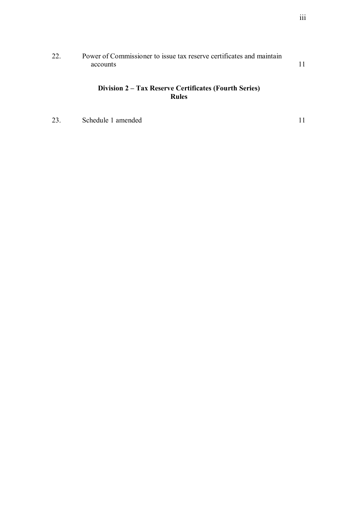| 22. | Power of Commissioner to issue tax reserve certificates and maintain |  |
|-----|----------------------------------------------------------------------|--|
|     | accounts                                                             |  |
|     |                                                                      |  |

### **Division 2 – Tax Reserve Certificates (Fourth Series) Rules**

23. [Schedule 1 amended](#page-19-0) 11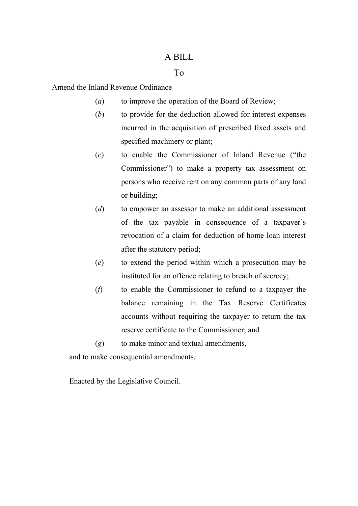### A BILL

### To

Amend the Inland Revenue Ordinance –

- (*a*) to improve the operation of the Board of Review;
- (*b*) to provide for the deduction allowed for interest expenses incurred in the acquisition of prescribed fixed assets and specified machinery or plant;
- (*c*) to enable the Commissioner of Inland Revenue ("the Commissioner") to make a property tax assessment on persons who receive rent on any common parts of any land or building;
- (*d*) to empower an assessor to make an additional assessment of the tax payable in consequence of a taxpayer's revocation of a claim for deduction of home loan interest after the statutory period;
- (*e*) to extend the period within which a prosecution may be instituted for an offence relating to breach of secrecy;
- (*f*) to enable the Commissioner to refund to a taxpayer the balance remaining in the Tax Reserve Certificates accounts without requiring the taxpayer to return the tax reserve certificate to the Commissioner; and
- (*g*) to make minor and textual amendments,

and to make consequential amendments.

Enacted by the Legislative Council.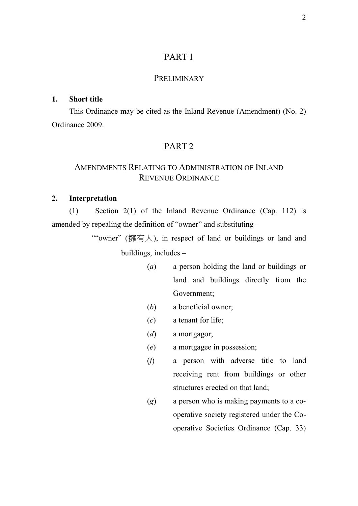## PART 1

#### PRELIMINARY

#### <span id="page-10-0"></span>**1. Short title**

This Ordinance may be cited as the Inland Revenue (Amendment) (No. 2) Ordinance 2009.

### PART 2

### AMENDMENTS RELATING TO ADMINISTRATION OF INLAND REVENUE ORDINANCE

#### **2. Interpretation**

(1) Section 2(1) of the Inland Revenue Ordinance (Cap. 112) is amended by repealing the definition of "owner" and substituting –

> ""owner" (擁有人), in respect of land or buildings or land and buildings, includes –

- (*a*) a person holding the land or buildings or land and buildings directly from the Government;
- (*b*) a beneficial owner;
- (*c*) a tenant for life;
- (*d*) a mortgagor;
- (*e*) a mortgagee in possession;
- (*f*) a person with adverse title to land receiving rent from buildings or other structures erected on that land;
- (*g*) a person who is making payments to a cooperative society registered under the Cooperative Societies Ordinance (Cap. 33)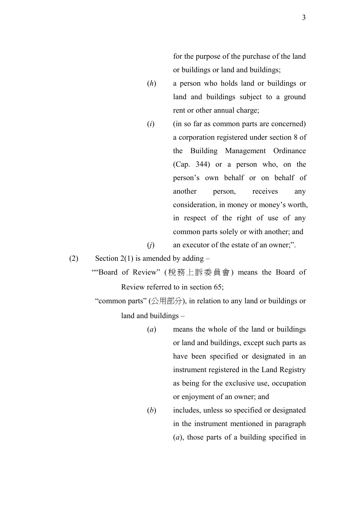for the purpose of the purchase of the land or buildings or land and buildings;

- (*h*) a person who holds land or buildings or land and buildings subject to a ground rent or other annual charge;
- (*i*) (in so far as common parts are concerned) a corporation registered under section 8 of the Building Management Ordinance (Cap. 344) or a person who, on the person's own behalf or on behalf of another person, receives any consideration, in money or money's worth, in respect of the right of use of any common parts solely or with another; and (*j*) an executor of the estate of an owner;".

(2) Section 2(1) is amended by adding  $-$ 

""Board of Review" (稅務上訴委員會) means the Board of Review referred to in section 65;

"common parts" (公用部分), in relation to any land or buildings or land and buildings –

- (*a*) means the whole of the land or buildings or land and buildings, except such parts as have been specified or designated in an instrument registered in the Land Registry as being for the exclusive use, occupation or enjoyment of an owner; and
- (*b*) includes, unless so specified or designated in the instrument mentioned in paragraph (*a*), those parts of a building specified in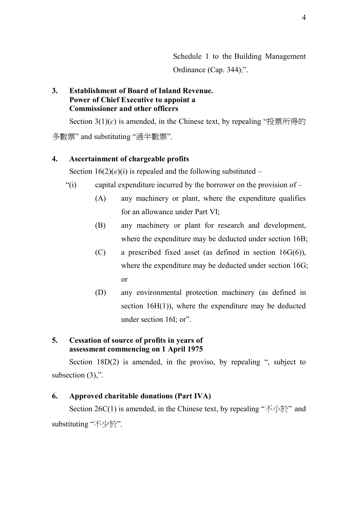Schedule 1 to the Building Management Ordinance (Cap. 344);".

### <span id="page-12-0"></span>**3. Establishment of Board of Inland Revenue. Power of Chief Executive to appoint a Commissioner and other officers**

Section 3(1)(*c*) is amended, in the Chinese text, by repealing "投票所得的 多數票" and substituting "過半數票".

### **4. Ascertainment of chargeable profits**

Section  $16(2)(e)(i)$  is repealed and the following substituted –

- "(i) capital expenditure incurred by the borrower on the provision of
	- (A) any machinery or plant, where the expenditure qualifies for an allowance under Part VI;
	- (B) any machinery or plant for research and development, where the expenditure may be deducted under section 16B;
	- (C) a prescribed fixed asset (as defined in section 16G(6)), where the expenditure may be deducted under section 16G; or
	- (D) any environmental protection machinery (as defined in section  $16H(1)$ , where the expenditure may be deducted under section 16I; or".

## **5. Cessation of source of profits in years of assessment commencing on 1 April 1975**

Section 18D(2) is amended, in the proviso, by repealing ", subject to subsection  $(3)$ ,".

## **6. Approved charitable donations (Part IVA)**

Section 26C(1) is amended, in the Chinese text, by repealing " $\overline{\mathcal{A}}$  \[\frac{\frac{\frac{\frac{\frac{\frac{\frac{\frac{\frac{\frac{\frac{\frac{\frac{\frac{\frac{\frac{\frac{\frac{\frac{\frac{\frac{\frac{\frac{\frac{\ substituting "不少於".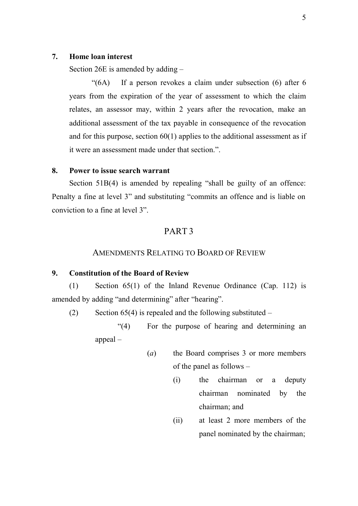#### <span id="page-13-0"></span>**7. Home loan interest**

Section 26E is amended by adding –

"(6A) If a person revokes a claim under subsection (6) after 6 years from the expiration of the year of assessment to which the claim relates, an assessor may, within 2 years after the revocation, make an additional assessment of the tax payable in consequence of the revocation and for this purpose, section  $60(1)$  applies to the additional assessment as if it were an assessment made under that section.".

#### **8. Power to issue search warrant**

Section 51B(4) is amended by repealing "shall be guilty of an offence: Penalty a fine at level 3" and substituting "commits an offence and is liable on conviction to a fine at level 3".

### PART 3

### AMENDMENTS RELATING TO BOARD OF REVIEW

#### **9. Constitution of the Board of Review**

(1) Section 65(1) of the Inland Revenue Ordinance (Cap. 112) is amended by adding "and determining" after "hearing".

(2) Section  $65(4)$  is repealed and the following substituted –

"(4) For the purpose of hearing and determining an appeal –

- (*a*) the Board comprises 3 or more members of the panel as follows –
	- (i) the chairman or a deputy chairman nominated by the chairman; and
	- (ii) at least 2 more members of the panel nominated by the chairman;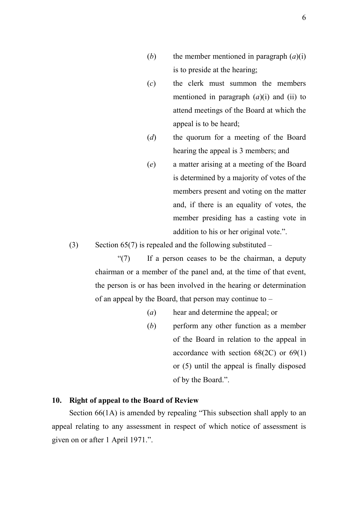- <span id="page-14-0"></span>(*b*) the member mentioned in paragraph  $(a)(i)$ is to preside at the hearing;
- (*c*) the clerk must summon the members mentioned in paragraph (*a*)(i) and (ii) to attend meetings of the Board at which the appeal is to be heard;
- (*d*) the quorum for a meeting of the Board hearing the appeal is 3 members; and
- (*e*) a matter arising at a meeting of the Board is determined by a majority of votes of the members present and voting on the matter and, if there is an equality of votes, the member presiding has a casting vote in addition to his or her original vote.".

(3) Section  $65(7)$  is repealed and the following substituted –

"(7) If a person ceases to be the chairman, a deputy chairman or a member of the panel and, at the time of that event, the person is or has been involved in the hearing or determination of an appeal by the Board, that person may continue to –

- (*a*) hear and determine the appeal; or
- (*b*) perform any other function as a member of the Board in relation to the appeal in accordance with section  $68(2C)$  or  $69(1)$ or (5) until the appeal is finally disposed of by the Board.".

#### **10. Right of appeal to the Board of Review**

Section 66(1A) is amended by repealing "This subsection shall apply to an appeal relating to any assessment in respect of which notice of assessment is given on or after 1 April 1971.".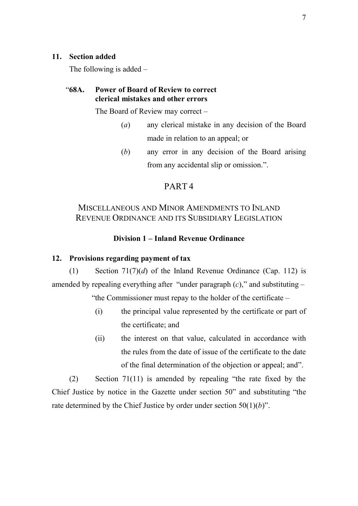#### <span id="page-15-0"></span>**11. Section added**

The following is added –

### "**68A. Power of Board of Review to correct clerical mistakes and other errors**

The Board of Review may correct –

- (*a*) any clerical mistake in any decision of the Board made in relation to an appeal; or
- (*b*) any error in any decision of the Board arising from any accidental slip or omission.".

# PART 4

# MISCELLANEOUS AND MINOR AMENDMENTS TO INLAND REVENUE ORDINANCE AND ITS SUBSIDIARY LEGISLATION

### **Division 1 – Inland Revenue Ordinance**

### **12. Provisions regarding payment of tax**

(1) Section 71(7)(*d*) of the Inland Revenue Ordinance (Cap. 112) is amended by repealing everything after "under paragraph (*c*)," and substituting –

"the Commissioner must repay to the holder of the certificate –

- (i) the principal value represented by the certificate or part of the certificate; and
- (ii) the interest on that value, calculated in accordance with the rules from the date of issue of the certificate to the date of the final determination of the objection or appeal; and".

(2) Section 71(11) is amended by repealing "the rate fixed by the Chief Justice by notice in the Gazette under section 50" and substituting "the rate determined by the Chief Justice by order under section 50(1)(*b*)".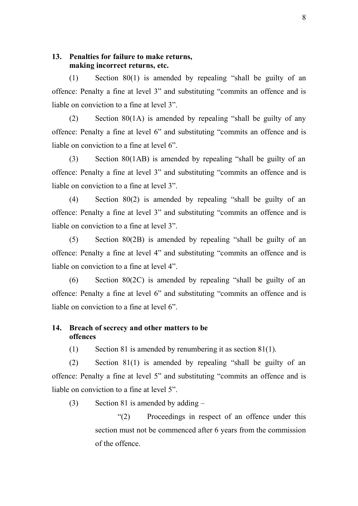### <span id="page-16-0"></span>**13. Penalties for failure to make returns, making incorrect returns, etc.**

(1) Section 80(1) is amended by repealing "shall be guilty of an offence: Penalty a fine at level 3" and substituting "commits an offence and is liable on conviction to a fine at level 3".

(2) Section 80(1A) is amended by repealing "shall be guilty of any offence: Penalty a fine at level 6" and substituting "commits an offence and is liable on conviction to a fine at level 6".

(3) Section 80(1AB) is amended by repealing "shall be guilty of an offence: Penalty a fine at level 3" and substituting "commits an offence and is liable on conviction to a fine at level 3".

(4) Section 80(2) is amended by repealing "shall be guilty of an offence: Penalty a fine at level 3" and substituting "commits an offence and is liable on conviction to a fine at level 3".

(5) Section 80(2B) is amended by repealing "shall be guilty of an offence: Penalty a fine at level 4" and substituting "commits an offence and is liable on conviction to a fine at level 4".

(6) Section 80(2C) is amended by repealing "shall be guilty of an offence: Penalty a fine at level 6" and substituting "commits an offence and is liable on conviction to a fine at level 6".

### **14. Breach of secrecy and other matters to be offences**

(1) Section 81 is amended by renumbering it as section 81(1).

(2) Section 81(1) is amended by repealing "shall be guilty of an offence: Penalty a fine at level 5" and substituting "commits an offence and is liable on conviction to a fine at level 5".

(3) Section 81 is amended by adding –

"(2) Proceedings in respect of an offence under this section must not be commenced after 6 years from the commission of the offence.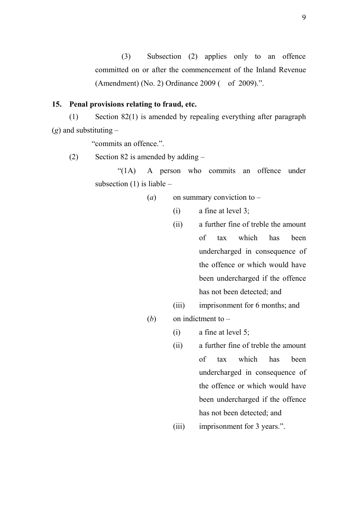<span id="page-17-0"></span>(3) Subsection (2) applies only to an offence committed on or after the commencement of the Inland Revenue (Amendment) (No. 2) Ordinance 2009 ( of 2009).".

### **15. Penal provisions relating to fraud, etc.**

(1) Section 82(1) is amended by repealing everything after paragraph (*g*) and substituting –

"commits an offence.".

(2) Section 82 is amended by adding  $-$ 

"(1A) A person who commits an offence under subsection  $(1)$  is liable –

- (*a*) on summary conviction to
	- (i) a fine at level 3;
	- (ii) a further fine of treble the amount of tax which has been undercharged in consequence of the offence or which would have been undercharged if the offence has not been detected; and
	- (iii) imprisonment for 6 months; and

(*b*) on indictment to –

- (i) a fine at level 5;
- (ii) a further fine of treble the amount of tax which has been undercharged in consequence of the offence or which would have been undercharged if the offence has not been detected; and
- (iii) imprisonment for 3 years.".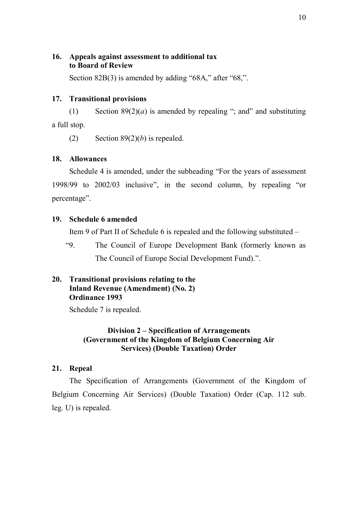### <span id="page-18-0"></span>**16. Appeals against assessment to additional tax to Board of Review**

Section 82B(3) is amended by adding "68A," after "68,".

### **17. Transitional provisions**

(1) Section  $89(2)(a)$  is amended by repealing "; and " and substituting a full stop.

(2) Section  $89(2)(b)$  is repealed.

### **18. Allowances**

Schedule 4 is amended, under the subheading "For the years of assessment 1998/99 to 2002/03 inclusive", in the second column, by repealing "or percentage".

### **19. Schedule 6 amended**

Item 9 of Part II of Schedule 6 is repealed and the following substituted –

"9. The Council of Europe Development Bank (formerly known as The Council of Europe Social Development Fund).".

### **20. Transitional provisions relating to the Inland Revenue (Amendment) (No. 2) Ordinance 1993**

Schedule 7 is repealed.

### **Division 2 – Specification of Arrangements (Government of the Kingdom of Belgium Concerning Air Services) (Double Taxation) Order**

### **21. Repeal**

The Specification of Arrangements (Government of the Kingdom of Belgium Concerning Air Services) (Double Taxation) Order (Cap. 112 sub. leg. U) is repealed.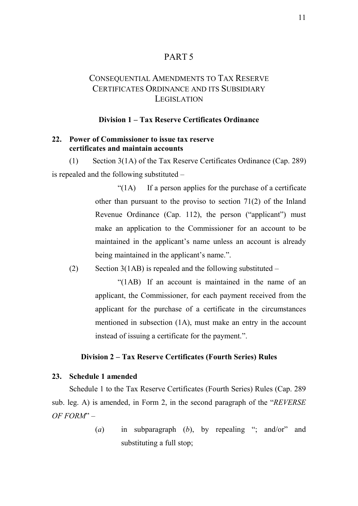## PART 5

# <span id="page-19-0"></span>CONSEQUENTIAL AMENDMENTS TO TAX RESERVE CERTIFICATES ORDINANCE AND ITS SUBSIDIARY **LEGISLATION**

#### **Division 1 – Tax Reserve Certificates Ordinance**

#### **22. Power of Commissioner to issue tax reserve certificates and maintain accounts**

(1) Section 3(1A) of the Tax Reserve Certificates Ordinance (Cap. 289) is repealed and the following substituted –

> $\mathcal{L}(1)$  If a person applies for the purchase of a certificate other than pursuant to the proviso to section 71(2) of the Inland Revenue Ordinance (Cap. 112), the person ("applicant") must make an application to the Commissioner for an account to be maintained in the applicant's name unless an account is already being maintained in the applicant's name.".

(2) Section 3(1AB) is repealed and the following substituted  $-$ 

"(1AB) If an account is maintained in the name of an applicant, the Commissioner, for each payment received from the applicant for the purchase of a certificate in the circumstances mentioned in subsection (1A), must make an entry in the account instead of issuing a certificate for the payment.".

#### **Division 2 – Tax Reserve Certificates (Fourth Series) Rules**

#### **23. Schedule 1 amended**

Schedule 1 to the Tax Reserve Certificates (Fourth Series) Rules (Cap. 289 sub. leg. A) is amended, in Form 2, in the second paragraph of the "*REVERSE OF FORM*" –

> (*a*) in subparagraph (*b*), by repealing "; and/or" and substituting a full stop;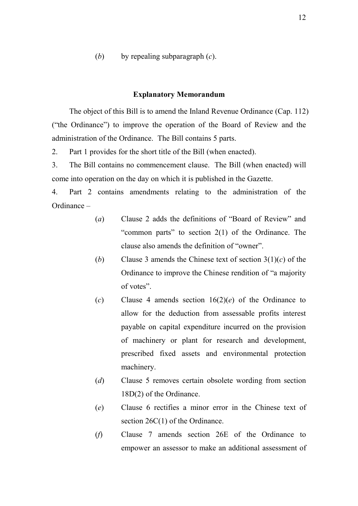(*b*) by repealing subparagraph (*c*).

#### **Explanatory Memorandum**

The object of this Bill is to amend the Inland Revenue Ordinance (Cap. 112) ("the Ordinance") to improve the operation of the Board of Review and the administration of the Ordinance. The Bill contains 5 parts.

2. Part 1 provides for the short title of the Bill (when enacted).

3. The Bill contains no commencement clause. The Bill (when enacted) will come into operation on the day on which it is published in the Gazette.

4. Part 2 contains amendments relating to the administration of the Ordinance –

- (*a*) Clause 2 adds the definitions of "Board of Review" and "common parts" to section 2(1) of the Ordinance. The clause also amends the definition of "owner".
- (*b*) Clause 3 amends the Chinese text of section 3(1)(*c*) of the Ordinance to improve the Chinese rendition of "a majority of votes".
- (*c*) Clause 4 amends section 16(2)(*e*) of the Ordinance to allow for the deduction from assessable profits interest payable on capital expenditure incurred on the provision of machinery or plant for research and development, prescribed fixed assets and environmental protection machinery.
- (*d*) Clause 5 removes certain obsolete wording from section 18D(2) of the Ordinance.
- (*e*) Clause 6 rectifies a minor error in the Chinese text of section 26C(1) of the Ordinance.
- (*f*) Clause 7 amends section 26E of the Ordinance to empower an assessor to make an additional assessment of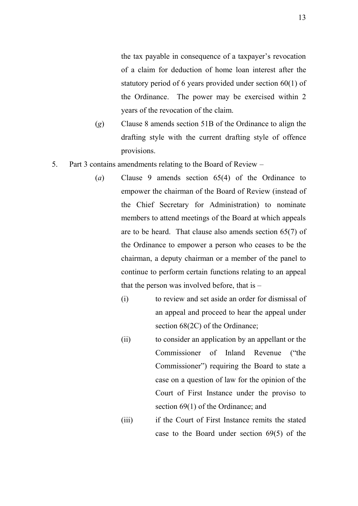the tax payable in consequence of a taxpayer's revocation of a claim for deduction of home loan interest after the statutory period of 6 years provided under section 60(1) of the Ordinance. The power may be exercised within 2 years of the revocation of the claim.

- (*g*) Clause 8 amends section 51B of the Ordinance to align the drafting style with the current drafting style of offence provisions.
- 5. Part 3 contains amendments relating to the Board of Review
	- (*a*) Clause 9 amends section 65(4) of the Ordinance to empower the chairman of the Board of Review (instead of the Chief Secretary for Administration) to nominate members to attend meetings of the Board at which appeals are to be heard. That clause also amends section 65(7) of the Ordinance to empower a person who ceases to be the chairman, a deputy chairman or a member of the panel to continue to perform certain functions relating to an appeal that the person was involved before, that is  $-$ 
		- (i) to review and set aside an order for dismissal of an appeal and proceed to hear the appeal under section 68(2C) of the Ordinance;
		- (ii) to consider an application by an appellant or the Commissioner of Inland Revenue ("the Commissioner") requiring the Board to state a case on a question of law for the opinion of the Court of First Instance under the proviso to section 69(1) of the Ordinance; and
		- (iii) if the Court of First Instance remits the stated case to the Board under section 69(5) of the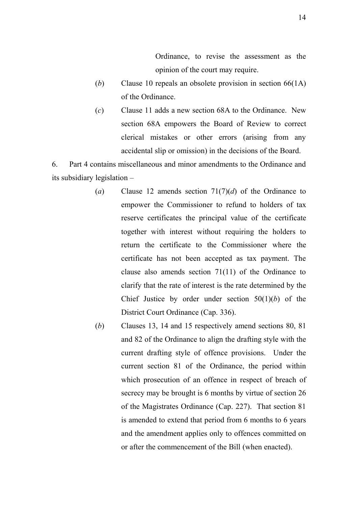Ordinance, to revise the assessment as the opinion of the court may require.

- (*b*) Clause 10 repeals an obsolete provision in section 66(1A) of the Ordinance.
- (*c*) Clause 11 adds a new section 68A to the Ordinance. New section 68A empowers the Board of Review to correct clerical mistakes or other errors (arising from any accidental slip or omission) in the decisions of the Board.

6. Part 4 contains miscellaneous and minor amendments to the Ordinance and its subsidiary legislation –

- (*a*) Clause 12 amends section 71(7)(*d*) of the Ordinance to empower the Commissioner to refund to holders of tax reserve certificates the principal value of the certificate together with interest without requiring the holders to return the certificate to the Commissioner where the certificate has not been accepted as tax payment. The clause also amends section 71(11) of the Ordinance to clarify that the rate of interest is the rate determined by the Chief Justice by order under section  $50(1)(b)$  of the District Court Ordinance (Cap. 336).
- (*b*) Clauses 13, 14 and 15 respectively amend sections 80, 81 and 82 of the Ordinance to align the drafting style with the current drafting style of offence provisions. Under the current section 81 of the Ordinance, the period within which prosecution of an offence in respect of breach of secrecy may be brought is 6 months by virtue of section 26 of the Magistrates Ordinance (Cap. 227). That section 81 is amended to extend that period from 6 months to 6 years and the amendment applies only to offences committed on or after the commencement of the Bill (when enacted).